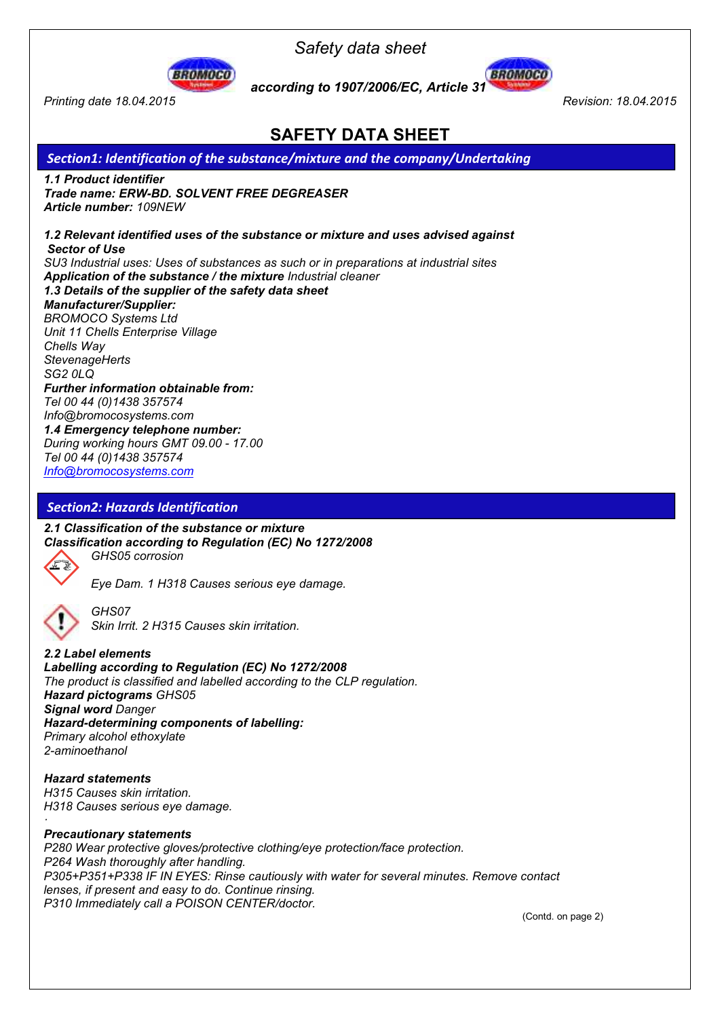

*Printing date 18.04.2015 Revision: 18.04.2015* 

*Safety data sheet* 



 *according to 1907/2006/EC, Article 31* 

## **SAFETY DATA SHEET**

## *Section1: Identification of the substance/mixture and the company/Undertaking*

*1.1 Product identifier Trade name: ERW-BD. SOLVENT FREE DEGREASER Article number: 109NEW* 

*1.2 Relevant identified uses of the substance or mixture and uses advised against Sector of Use SU3 Industrial uses: Uses of substances as such or in preparations at industrial sites Application of the substance / the mixture Industrial cleaner 1.3 Details of the supplier of the safety data sheet Manufacturer/Supplier: BROMOCO Systems Ltd Unit 11 Chells Enterprise Village Chells Way StevenageHerts SG2 0LQ Further information obtainable from: Tel 00 44 (0)1438 357574 Info@bromocosystems.com 1.4 Emergency telephone number: During working hours GMT 09.00 - 17.00 Tel 00 44 (0)1438 357574 Info@bromocosystems.com*

#### *Section2: Hazards Identification*

*2.1 Classification of the substance or mixture Classification according to Regulation (EC) No 1272/2008 GHS05 corrosion* 



*Eye Dam. 1 H318 Causes serious eye damage.* 



*GHS07 Skin Irrit. 2 H315 Causes skin irritation.* 

*2.2 Label elements Labelling according to Regulation (EC) No 1272/2008 The product is classified and labelled according to the CLP regulation. Hazard pictograms GHS05 Signal word Danger Hazard-determining components of labelling: Primary alcohol ethoxylate 2-aminoethanol* 

*Hazard statements H315 Causes skin irritation. H318 Causes serious eye damage.* 

#### *Precautionary statements*

*P280 Wear protective gloves/protective clothing/eye protection/face protection. P264 Wash thoroughly after handling. P305+P351+P338 IF IN EYES: Rinse cautiously with water for several minutes. Remove contact lenses, if present and easy to do. Continue rinsing. P310 Immediately call a POISON CENTER/doctor.* 

(Contd. on page 2)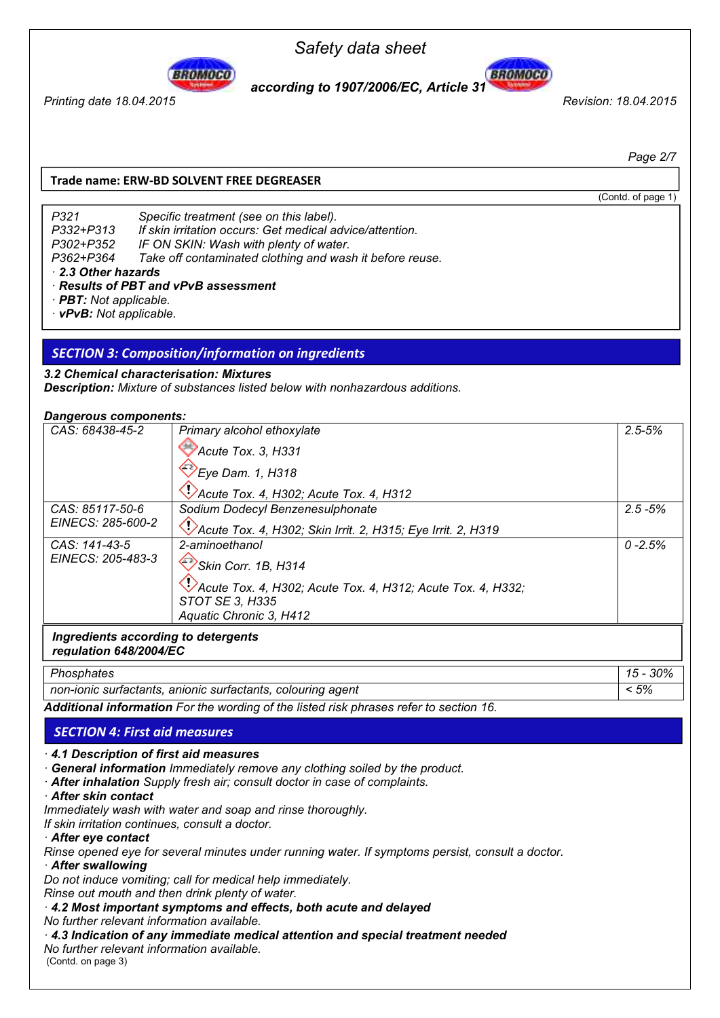

*Printing date 18.04.2015 Revision: 18.04.2015* 

**BROMOCO**  *according to 1907/2006/EC, Article 31* 

*Safety data sheet* 

*Page 2/7* 

#### **Trade name: ERW-BD SOLVENT FREE DEGREASER**

(Contd. of page 1)

P362+P364 Take off contaminated clothing and wash it before reuse. *P321 Specific treatment (see on this label). P332+P313 If skin irritation occurs: Get medical advice/attention. P302+P352 IF ON SKIN: Wash with plenty of water. 2.3 Other hazards* 

#### *Results of PBT and vPvB assessment*

- *PBT: Not applicable.*
- *vPvB: Not applicable.*

#### *SECTION 3: Composition/information on ingredients*

#### *3.2 Chemical characterisation: Mixtures*

*Description: Mixture of substances listed below with nonhazardous additions.* 

#### *Dangerous components:*

| CAS: 68438-45-2                     | Primary alcohol ethoxylate                                  | $2.5 - 5%$ |  |
|-------------------------------------|-------------------------------------------------------------|------------|--|
|                                     | Acute Tox. 3, H331                                          |            |  |
|                                     | $E$ ye Dam. 1, H318                                         |            |  |
|                                     | Acute Tox. 4, H302; Acute Tox. 4, H312                      |            |  |
| CAS: 85117-50-6                     | Sodium Dodecyl Benzenesulphonate                            | $2.5 - 5%$ |  |
| EINECS: 285-600-2                   | Acute Tox. 4, H302; Skin Irrit. 2, H315; Eye Irrit. 2, H319 |            |  |
| CAS: 141-43-5                       | 2-aminoethanol                                              | $0 - 2.5%$ |  |
| EINECS: 205-483-3                   | Skin Corr. 1B, H314                                         |            |  |
|                                     | Acute Tox. 4, H302; Acute Tox. 4, H312; Acute Tox. 4, H332; |            |  |
|                                     | STOT SE 3, H335                                             |            |  |
|                                     | Aquatic Chronic 3, H412                                     |            |  |
| Ingredients according to detergents |                                                             |            |  |

## *regulation 648/2004/EC*

| Phosphates                                                                            | 30% |
|---------------------------------------------------------------------------------------|-----|
| non-ionic surfactants, anionic surfactants, colouring agent                           | 5%  |
| Additional information For the wording of the listed risk phrases refer to section 16 |     |

*Additional information For the wording of the listed risk phrases refer to section 16.* 

# *SECTION 4: First aid measures SECTION 4: First aid measures*

 *4.1 Description of first aid measures* 

 *General information Immediately remove any clothing soiled by the product.* 

 *After inhalation Supply fresh air; consult doctor in case of complaints.* 

 *After skin contact* 

*Immediately wash with water and soap and rinse thoroughly.* 

*If skin irritation continues, consult a doctor.* 

 *After eye contact* 

*Rinse opened eye for several minutes under running water. If symptoms persist, consult a doctor.* 

#### *After swallowing*

*Do not induce vomiting; call for medical help immediately.* 

*Rinse out mouth and then drink plenty of water.* 

 *4.2 Most important symptoms and effects, both acute and delayed* 

*No further relevant information available.* 

#### *4.3 Indication of any immediate medical attention and special treatment needed*

*No further relevant information available.* 

(Contd. on page 3)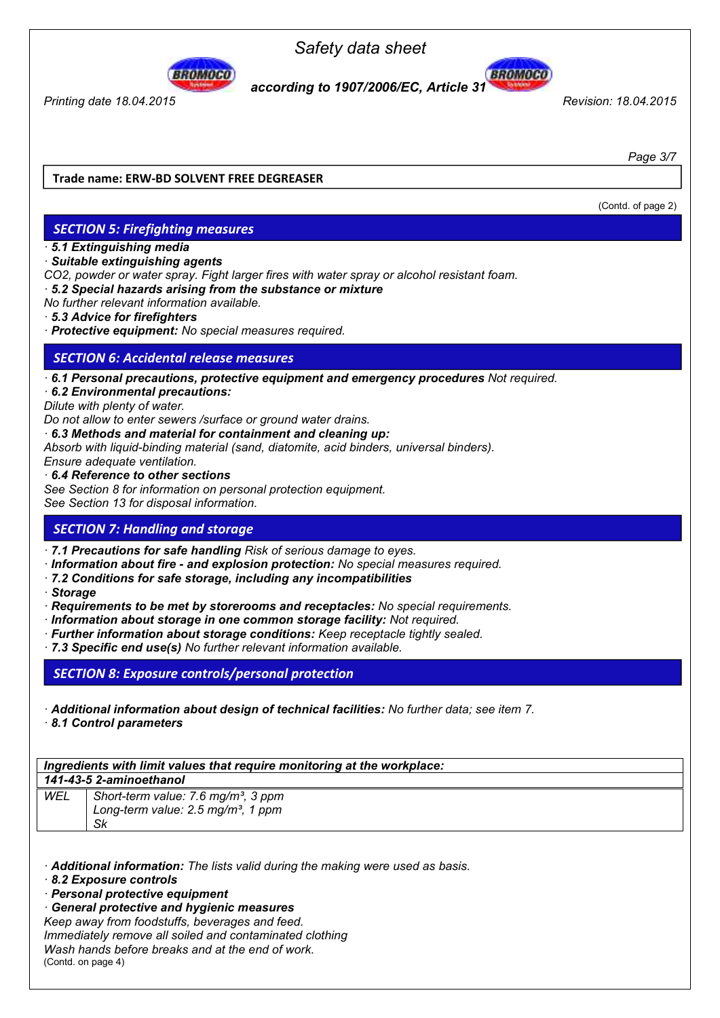

*Printing date 18.04.2015 Revision: 18.04.2015* 

L

#### **BROMOCO**  *according to 1907/2006/EC, Article 31*



*Page 3/7* 

#### **Trade name: ERW-BD SOLVENT FREE DEGREASER**

(Contd. of page 2)

## *SECTION 5: Firefighting measures SECTION 5: Firefighting measures*

 *5.1 Extinguishing media* 

#### *Suitable extinguishing agents*

*CO2, powder or water spray. Fight larger fires with water spray or alcohol resistant foam.* 

 *5.2 Special hazards arising from the substance or mixture* 

*No further relevant information available.* 

- *5.3 Advice for firefighters*
- *Protective equipment: No special measures required.*

#### *SEC TION 6: Accidental release measures SECTION 6: Accidental release measures*

 *6.1 Personal precautions, protective equipment and emergency procedures Not required.* 

 *6.2 Environmental precautions:* 

*Dilute with plenty of water.* 

*Do not allow to enter sewers /surface or ground water drains.* 

 *6.3 Methods and material for containment and cleaning up:* 

*Absorb with liquid-binding material (sand, diatomite, acid binders, universal binders).* 

*Ensure adequate ventilation.* 

#### *6.4 Reference to other sections*

*See Section 8 for information on personal protection equipment.* 

*See Section 13 for disposal information.* 

#### *SE CTION 7: Handling and storage SECTION 7: Handling and storage*

 *7.1 Precautions for safe handling Risk of serious damage to eyes.* 

- *Information about fire and explosion protection: No special measures required.*
- *7.2 Conditions for safe storage, including any incompatibilities*
- *Storage*
- *Requirements to be met by storerooms and receptacles: No special requirements.*
- *Information about storage in one common storage facility: Not required.*
- *Further information about storage conditions: Keep receptacle tightly sealed.*
- *7.3 Specific end use(s) No further relevant information available.*

*SECTION 8: Exposure controls/personal protection SECTION 8: Exposure controls/personal protection*

- *Additional information about design of technical facilities: No further data; see item 7.*
- *8.1 Control parameters*

*Ingredients with limit values that require monitoring at the workplace: 141-43-5 2-aminoethanol* 

| WEL | Short-term value: 7.6 mg/m <sup>3</sup> , 3 ppm |  |
|-----|-------------------------------------------------|--|
|     | Long-term value: 2.5 mg/m <sup>3</sup> , 1 ppm  |  |
|     | .Sk                                             |  |

 *Additional information: The lists valid during the making were used as basis.* 

 *8.2 Exposure controls* 

 *Personal protective equipment* 

 *General protective and hygienic measures* 

*Keep away from foodstuffs, beverages and feed.* 

*Immediately remove all soiled and contaminated clothing* 

*Wash hands before breaks and at the end of work.*  (Contd. on page 4)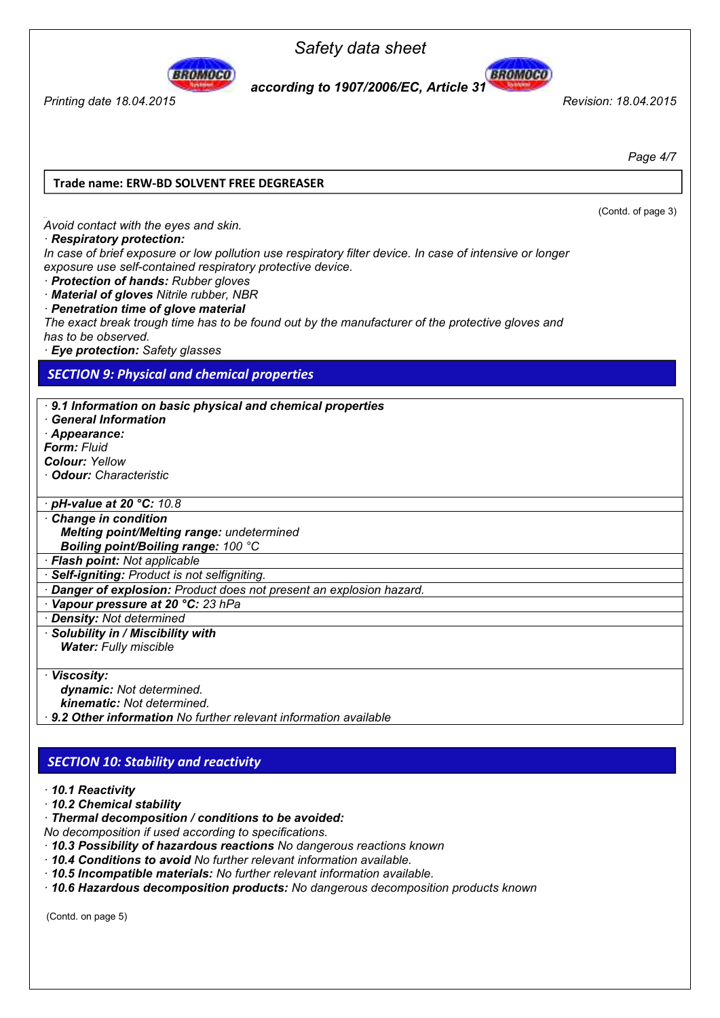



*Printing date 18.04.2015 Revision: 18.04.2015* 

*Page 4/7* 

(Contd. of page 3)

#### **Trade name: ERW-BD SOLVENT FREE DEGREASER**

*Avoid contact with the eyes and skin.* 

#### *Respiratory protection:*

*In case of brief exposure or low pollution use respiratory filter device. In case of intensive or longer exposure use self-contained respiratory protective device.* 

 *Protection of hands: Rubber gloves* 

 *Material of gloves Nitrile rubber, NBR* 

 *Penetration time of glove material* 

*The exact break trough time has to be found out by the manufacturer of the protective gloves and has to be observed.* 

 *Eye protection: Safety glasses* 

# *SECTION 9: Physical and c SECTION 9: Physical and chemical properties*

 *9.1 Information on basic physical and chemical properties General Information Appearance: Form: Fluid Colour: Yellow Odour: Characteristic* 

 *pH-value at 20 °C: 10.8* 

 *Change in condition Melting point/Melting range: undetermined Boiling point/Boiling range: 100 °C* 

 *Flash point: Not applicable* 

 *Self-igniting: Product is not selfigniting.* 

 *Danger of explosion: Product does not present an explosion hazard.* 

 *Vapour pressure at 20 °C: 23 hPa* 

 *Density: Not determined* 

 *Solubility in / Miscibility with Water: Fully miscible* 

 *Viscosity:* 

 *dynamic: Not determined.* 

 *kinematic: Not determined.* 

 *9.2 Other information No further relevant information available* 

#### *CTION 10: Stability and reactivity SECTION 10: Stability and reactivity*

#### *10.1 Reactivity*

 *10.2 Chemical stability* 

 *Thermal decomposition / conditions to be avoided:* 

*No decomposition if used according to specifications.* 

- *10.3 Possibility of hazardous reactions No dangerous reactions known*
- *10.4 Conditions to avoid No further relevant information available.*
- *10.5 Incompatible materials: No further relevant information available.*
- *10.6 Hazardous decomposition products: No dangerous decomposition products known*

(Contd. on page 5)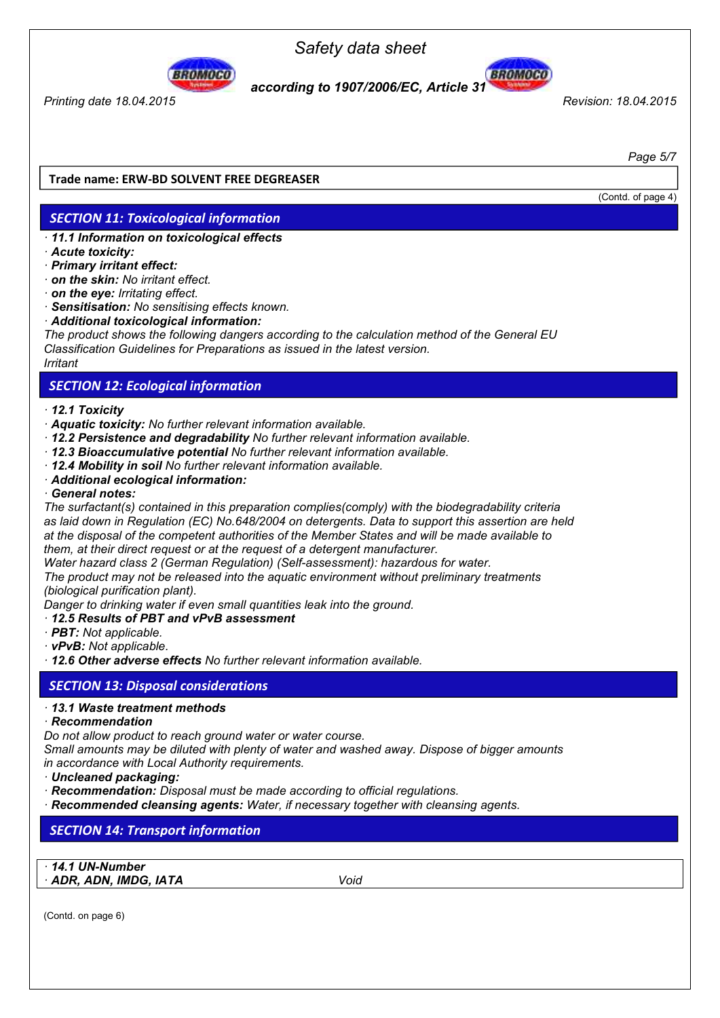

*Printing date 18.04.2015 Revision: 18.04.2015* 

*Safety data sheet* 



*Page 5/7* 

#### **Trade name: ERW-BD SOLVENT FREE DEGREASER**

#### (Contd. of page 4)

*ECTION 11: Toxicological information*

### *SECTION 11: Toxicological information*

- *11.1 Information on toxicological effects*
- *Acute toxicity:*
- *Primary irritant effect:*
- *on the skin: No irritant effect.*
- *on the eye: Irritating effect.*
- *Sensitisation: No sensitising effects known.*
- *Additional toxicological information:*

*The product shows the following dangers according to the calculation method of the General EU Classification Guidelines for Preparations as issued in the latest version. Irritant* 

#### *SE CTION 12: Ecological information SECTION 12: Ecological information*

#### *12.1 Toxicity*

- *Aquatic toxicity: No further relevant information available.*
- *12.2 Persistence and degradability No further relevant information available.*
- *12.3 Bioaccumulative potential No further relevant information available.*
- *12.4 Mobility in soil No further relevant information available.*
- *Additional ecological information:*

#### *General notes:*

*The surfactant(s) contained in this preparation complies(comply) with the biodegradability criteria as laid down in Regulation (EC) No.648/2004 on detergents. Data to support this assertion are held at the disposal of the competent authorities of the Member States and will be made available to them, at their direct request or at the request of a detergent manufacturer.* 

*Water hazard class 2 (German Regulation) (Self-assessment): hazardous for water.* 

*The product may not be released into the aquatic environment without preliminary treatments (biological purification plant).* 

*Danger to drinking water if even small quantities leak into the ground.* 

#### *12.5 Results of PBT and vPvB assessment*

- *PBT: Not applicable.*
- *vPvB: Not applicable.*

 *12.6 Other adverse effects No further relevant information available.* 

#### *SECTI ON 13: Disposal considerations SECTION 13: Disposal considerations*

#### *13.1 Waste treatment methods*

#### *Recommendation*

*Do not allow product to reach ground water or water course.* 

*Small amounts may be diluted with plenty of water and washed away. Dispose of bigger amounts in accordance with Local Authority requirements.* 

- *Uncleaned packaging:*
- *Recommendation: Disposal must be made according to official regulations.*
- *Recommended cleansing agents: Water, if necessary together with cleansing agents.*

#### $S<sub>5</sub>$ *TION 14: Transport information SECTION 14: Transport information*

 *14.1 UN-Number ADR, ADN, IMDG, IATA Void*

(Contd. on page 6)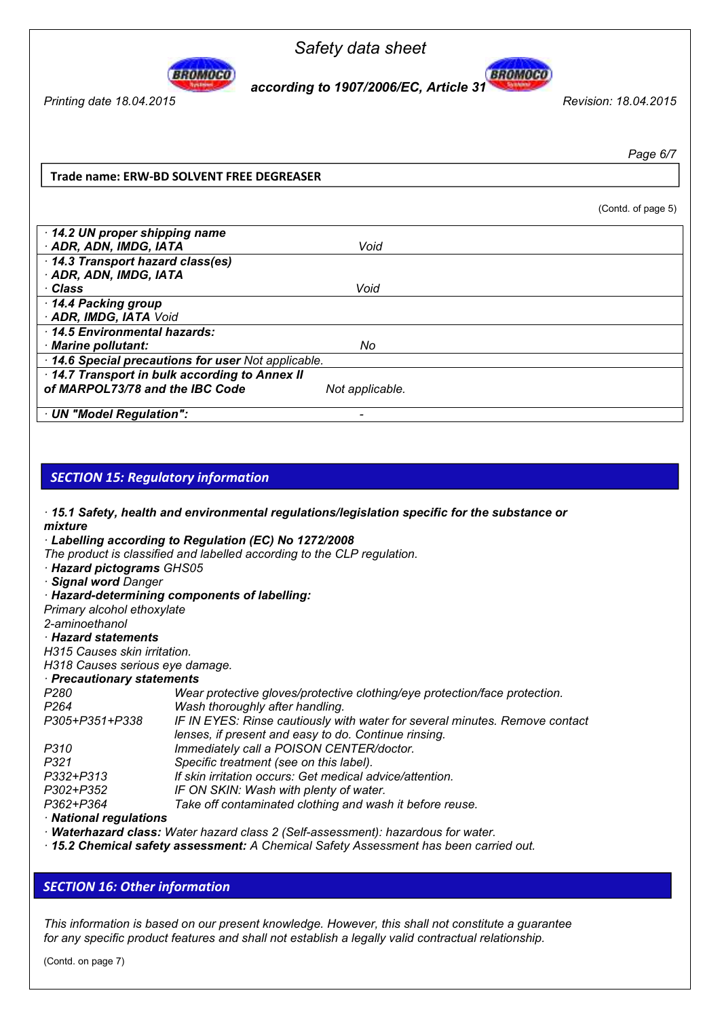



*Printing date 18.04.2015 Revision: 18.04.2015* 

*Page 6/7* 

(Contd. of page 5)

#### **Trade name: ERW-BD SOLVENT FREE DEGREASER**

| 14.2 UN proper shipping name                      |                 |
|---------------------------------------------------|-----------------|
| · ADR, ADN, IMDG, IATA                            | Void            |
| 14.3 Transport hazard class(es)                   |                 |
| · ADR, ADN, IMDG, IATA                            |                 |
| ∙ Class                                           | Void            |
| 14.4 Packing group                                |                 |
| · ADR, IMDG, IATA Void                            |                 |
| 14.5 Environmental hazards:                       |                 |
| · Marine pollutant:                               | No              |
| 14.6 Special precautions for user Not applicable. |                 |
| 14.7 Transport in bulk according to Annex II      |                 |
| of MARPOL73/78 and the IBC Code                   | Not applicable. |
| · UN "Model Regulation":                          |                 |

### *SECTION 15: Regulatory information*

 *15.1 Safety, health and environmental regulations/legislation specific for the substance or mixture* 

 *Labelling according to Regulation (EC) No 1272/2008*

*The product is classified and labelled according to the CLP regulation.* 

 *Hazard pictograms GHS05* 

 *Signal word Danger* 

 *Hazard-determining components of labelling:* 

*Primary alcohol ethoxylate* 

*2-aminoethanol* 

#### *Hazard statements*

*H315 Causes skin irritation.* 

*H318 Causes serious eye damage.* 

 *Precautionary statements* 

| P280             | Wear protective gloves/protective clothing/eye protection/face protection.  |
|------------------|-----------------------------------------------------------------------------|
| P <sub>264</sub> | Wash thoroughly after handling.                                             |
| P305+P351+P338   | IF IN EYES: Rinse cautiously with water for several minutes. Remove contact |
|                  | lenses, if present and easy to do. Continue rinsing.                        |
| P310             | Immediately call a POISON CENTER/doctor.                                    |
| P321             | Specific treatment (see on this label).                                     |
| P332+P313        | If skin irritation occurs: Get medical advice/attention.                    |
| P302+P352        | IF ON SKIN: Wash with plenty of water.                                      |
| P362+P364        | Take off contaminated clothing and wash it before reuse.                    |
|                  |                                                                             |

#### *National regulations*

 *Waterhazard class: Water hazard class 2 (Self-assessment): hazardous for water.* 

 *15.2 Chemical safety assessment: A Chemical Safety Assessment has been carried out.* 

# *ECTION 16: Other information SECTION 16: Other information*

*This information is based on our present knowledge. However, this shall not constitute a guarantee for any specific product features and shall not establish a legally valid contractual relationship.* 

(Contd. on page 7)